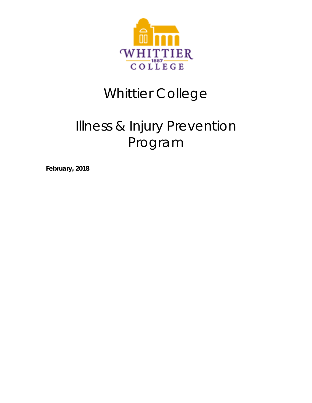

# Whittier College

# Illness & Injury Prevention Program

**February, 2018**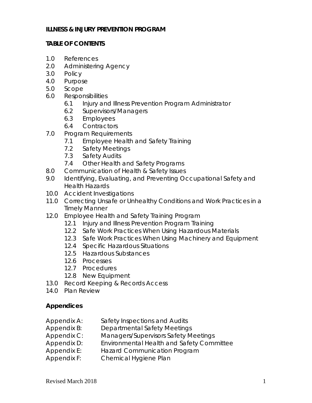#### **ILLNESS & INJURY PREVENTION PROGRAM**

#### **TABLE OF CONTENTS**

- 1.0 References
- 2.0 Administering Agency
- 3.0 Policy
- 4.0 Purpose
- 5.0 Scope
- 6.0 Responsibilities
	- 6.1 Injury and Illness Prevention Program Administrator
	- 6.2 Supervisors/Managers
	- 6.3 Employees
	- 6.4 Contractors
- 7.0 Program Requirements
	- 7.1 Employee Health and Safety Training
	- 7.2 Safety Meetings
	- 7.3 Safety Audits
	- 7.4 Other Health and Safety Programs
- 8.0 Communication of Health & Safety Issues
- 9.0 Identifying, Evaluating, and Preventing Occupational Safety and Health Hazards
- 10.0 Accident Investigations
- 11.0 Correcting Unsafe or Unhealthy Conditions and Work Practices in a Timely Manner
- 12.0 Employee Health and Safety Training Program
	- 12.1 Injury and Illness Prevention Program Training
	- 12.2 Safe Work Practices When Using Hazardous Materials
	- 12.3 Safe Work Practices When Using Machinery and Equipment
	- 12.4 Specific Hazardous Situations
	- 12.5 Hazardous Substances
	- 12.6 Processes
	- 12.7 Procedures
	- 12.8 New Equipment
- 13.0 Record Keeping & Records Access
- 14.0 Plan Review

#### **Appendices**

- Appendix A: Safety Inspections and Audits
- Appendix B: Departmental Safety Meetings
- Appendix C: Managers/Supervisors Safety Meetings
- Appendix D: Environmental Health and Safety Committee
- Appendix E: Hazard Communication Program
- Appendix F: Chemical Hygiene Plan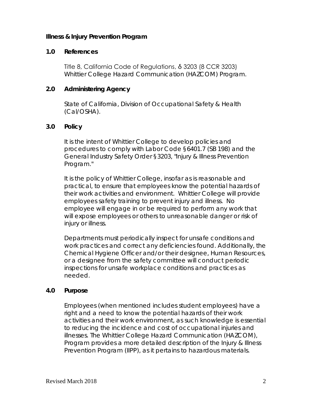#### **Illness & Injury Prevention Program**

#### **1.0 References**

Title 8, California Code of Regulations,  $\delta$  3203 (8 CCR 3203) Whittier College Hazard Communication (HAZCOM) Program.

#### **2.0 Administering Agency**

State of California, Division of Occupational Safety & Health (Cal/OSHA).

#### **3.0 Policy**

It is the intent of Whittier College to develop policies and procedures to comply with Labor Code §6401.7 (SB 198) and the General Industry Safety Order §3203, "Injury & Illness Prevention Program."

It is the policy of Whittier College, insofar as is reasonable and practical, to ensure that employees know the potential hazards of their work activities and environment. Whittier College will provide employees safety training to prevent injury and illness. No employee will engage in or be required to perform any work that will expose employees or others to unreasonable danger or risk of injury or illness.

Departments must periodically inspect for unsafe conditions and work practices and correct any deficiencies found. Additionally, the Chemical Hygiene Officer and/or their designee, Human Resources, or a designee from the safety committee will conduct periodic inspections for unsafe workplace conditions and practices as needed.

#### **4.0 Purpose**

Employees (when mentioned includes student employees) have a right and a need to know the potential hazards of their work activities and their work environment, as such knowledge is essential to reducing the incidence and cost of occupational injuries and illnesses. The Whittier College Hazard Communication (HAZCOM), Program provides a more detailed description of the Injury & Illness Prevention Program (IIPP), as it pertains to hazardous materials.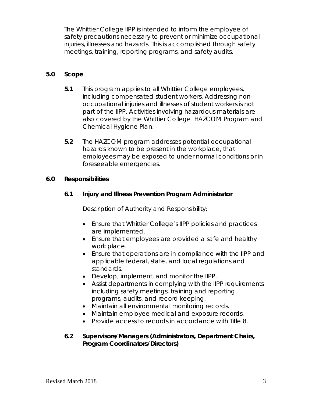The Whittier College IIPP is intended to inform the employee of safety precautions necessary to prevent or minimize occupational injuries, illnesses and hazards. This is accomplished through safety meetings, training, reporting programs, and safety audits.

### **5.0 Scope**

- **5.1** This program applies to all Whittier College employees, including compensated student workers. Addressing nonoccupational injuries and illnesses of student workers is not part of the IIPP. Activities involving hazardous materials are also covered by the Whittier College HAZCOM Program and Chemical Hygiene Plan.
- **5.2** The HAZCOM program addresses potential occupational hazards known to be present in the workplace, that employees may be exposed to under normal conditions or in foreseeable emergencies.

#### **6.0 Responsibilities**

# **6.1 Injury and Illness Prevention Program Administrator**

Description of Authority and Responsibility:

- Ensure that Whittier College's IIPP policies and practices are implemented.
- Ensure that employees are provided a safe and healthy work place.
- Ensure that operations are in compliance with the IIPP and applicable federal, state, and local regulations and standards.
- Develop, implement, and monitor the IIPP.
- Assist departments in complying with the IIPP requirements including safety meetings, training and reporting programs, audits, and record keeping.
- Maintain all environmental monitoring records.
- Maintain employee medical and exposure records.
- Provide access to records in accordance with Title 8.

#### **6.2 Supervisors/Managers (Administrators, Department Chairs, Program Coordinators/Directors)**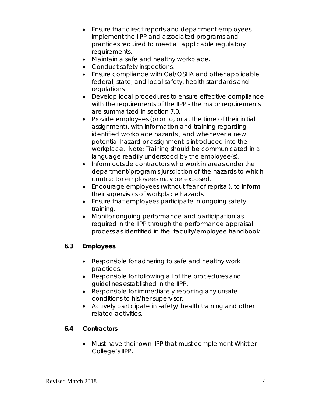- Ensure that direct reports and department employees implement the IIPP and associated programs and practices required to meet all applicable regulatory requirements.
- Maintain a safe and healthy workplace.
- Conduct safety inspections.
- Ensure compliance with Cal/OSHA and other applicable federal, state, and local safety, health standards and regulations.
- Develop local procedures to ensure effective compliance with the requirements of the IIPP - the major requirements are summarized in section 7.0.
- Provide employees (prior to, or at the time of their initial assignment), with information and training regarding identified workplace hazards , and whenever a new potential hazard or assignment is introduced into the workplace. Note: Training should be communicated in a language readily understood by the employee(s).
- Inform outside contractors who work in areas under the department/program's jurisdiction of the hazards to which contractor employees may be exposed.
- Encourage employees (without fear of reprisal), to inform their supervisors of workplace hazards.
- Ensure that employees participate in ongoing safety training.
- Monitor ongoing performance and participation as required in the IIPP through the performance appraisal process as identified in the faculty/employee handbook.

# **6.3 Employees**

- Responsible for adhering to safe and healthy work practices.
- Responsible for following all of the procedures and guidelines established in the IIPP.
- Responsible for immediately reporting any unsafe conditions to his/her supervisor.
- Actively participate in safety/ health training and other related activities.

# **6.4 Contractors**

• Must have their own IIPP that must complement Whittier College's IIPP.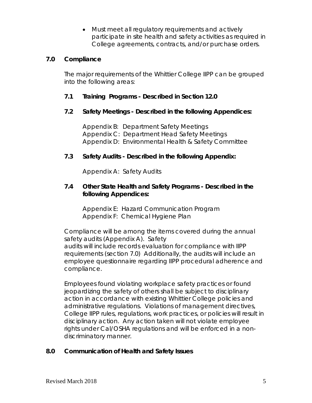• Must meet all regulatory requirements and actively participate in site health and safety activities as required in College agreements, contracts, and/or purchase orders.

#### **7.0 Compliance**

The major requirements of the Whittier College IIPP can be grouped into the following areas:

#### **7.1 Training Programs - Described in Section 12.0**

#### **7.2 Safety Meetings - Described in the following Appendices:**

Appendix B: Department Safety Meetings Appendix C: Department Head Safety Meetings Appendix D: Environmental Health & Safety Committee

#### **7.3 Safety Audits - Described in the following Appendix:**

Appendix A: Safety Audits

#### **7.4 Other State Health and Safety Programs - Described in the following Appendices:**

Appendix E: Hazard Communication Program Appendix F: Chemical Hygiene Plan

Compliance will be among the items covered during the annual safety audits (Appendix A). Safety audits will include records evaluation for compliance with IIPP requirements (section 7.0) Additionally, the audits will include an employee questionnaire regarding IIPP procedural adherence and compliance.

Employees found violating workplace safety practices or found jeopardizing the safety of others shall be subject to disciplinary action in accordance with existing Whittier College policies and administrative regulations. Violations of management directives, College IIPP rules, regulations, work practices, or policies will result in disciplinary action. Any action taken will not violate employee rights under Cal/OSHA regulations and will be enforced in a nondiscriminatory manner.

#### **8.0 Communication of Health and Safety Issues**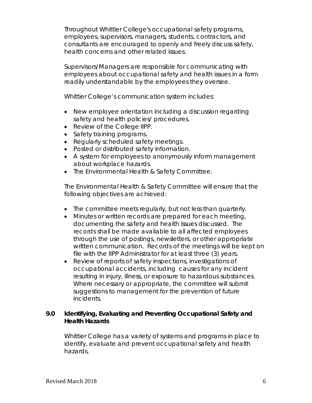Throughout Whittier College's occupational safety programs, employees, supervisors, managers, students, contractors, and consultants are encouraged to openly and freely discuss safety, health concerns and other related issues.

Supervisors/Managers are responsible for communicating with employees about occupational safety and health issues in a form readily understandable by the employees they oversee.

Whittier College's communication system includes:

- New employee orientation including a discussion regarding safety and health policies/ procedures.
- Review of the College IIPP.
- Safety training programs.
- Regularly scheduled safety meetings.
- Posted or distributed safety information.
- A system for employees to anonymously inform management about workplace hazards.
- The Environmental Health & Safety Committee.

The Environmental Health & Safety Committee will ensure that the following objectives are achieved:

- The committee meets regularly, but not less than quarterly.
- Minutes or written records are prepared for each meeting, documenting the safety and health issues discussed. The records shall be made available to all affected employees through the use of postings, newsletters, or other appropriate written communication. Records of the meetings will be kept on file with the IIPP Administrator for at least three (3) years.
- Review of reports of safety inspections, investigations of occupational accidents, including causes for any incident resulting in injury, illness, or exposure to hazardous substances. Where necessary or appropriate, the committee will submit suggestions to management for the prevention of future incidents.

#### **9.0 Identifying, Evaluating and Preventing Occupational Safety and Health Hazards**

Whittier College has a variety of systems and programs in place to identify, evaluate and prevent occupational safety and health hazards.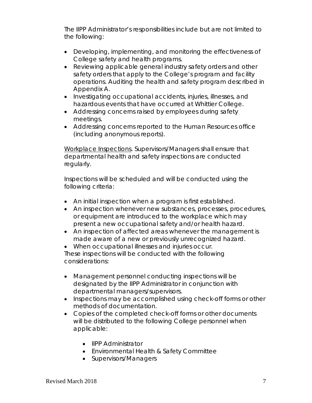The IIPP Administrator's responsibilities include but are not limited to the following:

- Developing, implementing, and monitoring the effectiveness of College safety and health programs.
- Reviewing applicable general industry safety orders and other safety orders that apply to the College's program and facility operations. Auditing the health and safety program described in Appendix A.
- Investigating occupational accidents, injuries, illnesses, and hazardous events that have occurred at Whittier College.
- Addressing concerns raised by employees during safety meetings.
- Addressing concerns reported to the Human Resources office (including anonymous reports).

Workplace Inspections. Supervisors/Managers shall ensure that departmental health and safety inspections are conducted regularly.

Inspections will be scheduled and will be conducted using the following criteria:

- An initial inspection when a program is first established.
- An inspection whenever new substances, processes, procedures, or equipment are introduced to the workplace which may present a new occupational safety and/or health hazard.
- An inspection of affected areas whenever the management is made aware of a new or previously unrecognized hazard.
- When occupational illnesses and injuries occur. These inspections will be conducted with the following considerations:
- Management personnel conducting inspections will be designated by the IIPP Administrator in conjunction with departmental managers/supervisors.
- Inspections may be accomplished using check-off forms or other methods of documentation.
- Copies of the completed check-off forms or other documents will be distributed to the following College personnel when applicable:
	- IIPP Administrator
	- Environmental Health & Safety Committee
	- Supervisors/Managers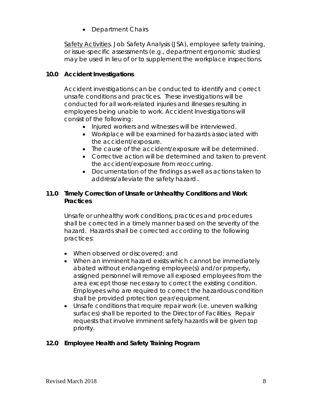• Department Chairs

Safety Activities. Job Safety Analysis (JSA), employee safety training, or issue-specific assessments (e.g., department ergonomic studies) may be used in lieu of or to supplement the workplace inspections.

# **10.0 Accident Investigations**

Accident investigations can be conducted to identify and correct unsafe conditions and practices. These investigations will be conducted for all work-related injuries and illnesses resulting in employees being unable to work. Accident Investigations will consist of the following:

- Injured workers and witnesses will be interviewed.
- Workplace will be examined for hazards associated with the accident/exposure.
- The cause of the accident/exposure will be determined.
- Corrective action will be determined and taken to prevent the accident/exposure from reoccurring.
- Documentation of the findings as well as actions taken to address/alleviate the safety hazard..

### **11.0 Timely Correction of Unsafe or Unhealthy Conditions and Work Practices**

Unsafe or unhealthy work conditions, practices and procedures shall be corrected in a timely manner based on the severity of the hazard. Hazards shall be corrected according to the following practices:

- When observed or discovered; and
- When an imminent hazard exists which cannot be immediately abated without endangering employee(s) and/or property, assigned personnel will remove all exposed employees from the area except those necessary to correct the existing condition. Employees who are required to correct the hazardous condition shall be provided protection gear/equipment.
- Unsafe conditions that require repair work (i.e. uneven walking surfaces) shall be reported to the Director of Facilities. Repair requests that involve imminent safety hazards will be given top priority.

#### **12.0 Employee Health and Safety Training Program**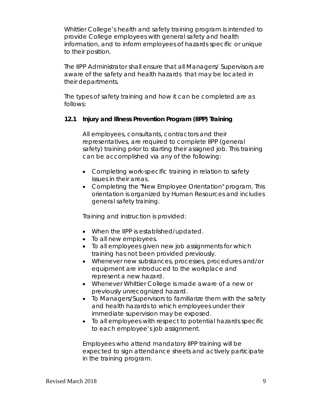Whittier College's health and safety training program is intended to provide College employees with general safety and health information, and to inform employees of hazards specific or unique to their position.

The IIPP Administrator shall ensure that all Managers/ Supervisors are aware of the safety and health hazards that may be located in their departments.

The types of safety training and how it can be completed are as follows:

#### **12.1 Injury and Illness Prevention Program (IIPP) Training**

All employees, consultants, contractors and their representatives, are required to complete IIPP (general safety) training prior to starting their assigned job. This training can be accomplished via any of the following:

- Completing work-specific training in relation to safety issues in their areas.
- Completing the "New Employee Orientation" program. This orientation is organized by Human Resources and includes general safety training.

Training and instruction is provided:

- When the IIPP is established/updated.
- To all new employees.
- To all employees given new job assignments for which training has not been provided previously.
- Whenever new substances, processes, procedures and/or equipment are introduced to the workplace and represent a new hazard.
- Whenever Whittier College is made aware of a new or previously unrecognized hazard.
- To Managers/Supervisors to familiarize them with the safety and health hazards to which employees under their immediate supervision may be exposed.
- To all employees with respect to potential hazards specific to each employee's job assignment.

Employees who attend mandatory IIPP training will be expected to sign attendance sheets and actively participate in the training program.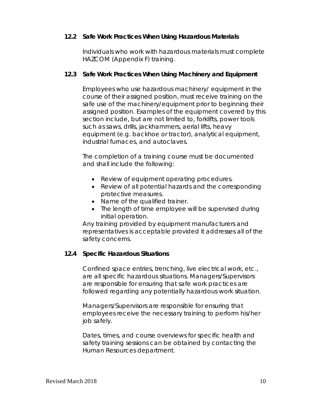#### **12.2 Safe Work Practices When Using Hazardous Materials**

Individuals who work with hazardous materials must complete HAZCOM (Appendix F) training.

#### **12.3 Safe Work Practices When Using Machinery and Equipment**

Employees who use hazardous machinery/ equipment in the course of their assigned position, must receive training on the safe use of the machinery/equipment prior to beginning their assigned position. Examples of the equipment covered by this section include, but are not limited to, forklifts, power tools such as saws, drills, jackhammers, aerial lifts, heavy equipment (e.g. backhoe or tractor), analytical equipment, industrial furnaces, and autoclaves.

The completion of a training course must be documented and shall include the following:

- Review of equipment operating procedures.
- Review of all potential hazards and the corresponding protective measures.
- Name of the qualified trainer.
- The length of time employee will be supervised during initial operation.

Any training provided by equipment manufacturers and representatives is acceptable provided it addresses all of the safety concerns.

#### **12.4 Specific Hazardous Situations**

Confined space entries, trenching, live electrical work, etc., are all specific hazardous situations. Managers/Supervisors are responsible for ensuring that safe work practices are followed regarding any potentially hazardous work situation.

Managers/Supervisors are responsible for ensuring that employees receive the necessary training to perform his/her job safely.

Dates, times, and course overviews for specific health and safety training sessions can be obtained by contacting the Human Resources department.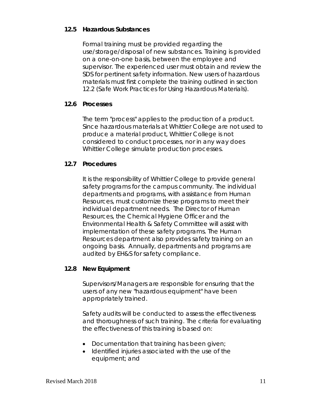#### **12.5 Hazardous Substances**

Formal training must be provided regarding the use/storage/disposal of new substances. Training is provided on a one-on-one basis, between the employee and supervisor. The experienced user must obtain and review the SDS for pertinent safety information. New users of hazardous materials must first complete the training outlined in section 12.2 (Safe Work Practices for Using Hazardous Materials).

#### **12.6 Processes**

The term "process" applies to the production of a product. Since hazardous materials at Whittier College are not used to produce a material product, Whittier College is not considered to conduct processes, nor in any way does Whittier College simulate production processes.

#### **12.7 Procedures**

It is the responsibility of Whittier College to provide general safety programs for the campus community. The individual departments and programs, with assistance from Human Resources, must customize these programs to meet their individual department needs. The Director of Human Resources, the Chemical Hygiene Officer and the Environmental Health & Safety Committee will assist with implementation of these safety programs. The Human Resources department also provides safety training on an ongoing basis. Annually, departments and programs are audited by EH&S for safety compliance.

#### **12.8 New Equipment**

Supervisors/Managers are responsible for ensuring that the users of any new "hazardous equipment" have been appropriately trained.

Safety audits will be conducted to assess the effectiveness and thoroughness of such training. The criteria for evaluating the effectiveness of this training is based on:

- Documentation that training has been given;
- Identified injuries associated with the use of the equipment; and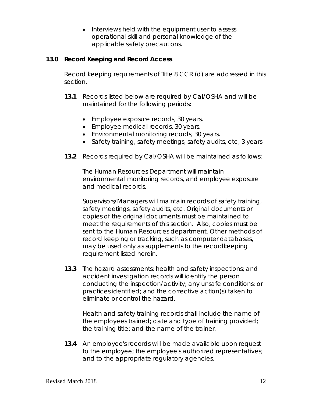• Interviews held with the equipment user to assess operational skill and personal knowledge of the applicable safety precautions.

#### **13.0 Record Keeping and Record Access**

Record keeping requirements of Title 8 CCR (d) are addressed in this section.

- **13.1** Records listed below are required by Cal/OSHA and will be maintained for the following periods:
	- Employee exposure records, 30 years.
	- Employee medical records, 30 years.
	- Environmental monitoring records, 30 years.
	- Safety training, safety meetings, safety audits, etc, 3 years
- **13.2** Records required by Cal/OSHA will be maintained as follows:

The Human Resources Department will maintain environmental monitoring records, and employee exposure and medical records.

Supervisors/Managers will maintain records of safety training, safety meetings, safety audits, etc. Original documents or copies of the original documents must be maintained to meet the requirements of this section. Also, copies must be sent to the Human Resources department. Other methods of record keeping or tracking, such as computer databases, may be used only as supplements to the recordkeeping requirement listed herein.

**13.3** The hazard assessments; health and safety inspections; and accident investigation records will identify the person conducting the inspection/activity; any unsafe conditions; or practices identified; and the corrective action(s) taken to eliminate or control the hazard.

Health and safety training records shall include the name of the employees trained; date and type of training provided; the training title; and the name of the trainer.

**13.4** An employee's records will be made available upon request to the employee; the employee's authorized representatives; and to the appropriate regulatory agencies.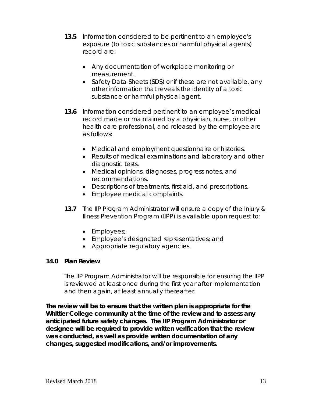- **13.5** Information considered to be pertinent to an employee's exposure (to toxic substances or harmful physical agents) record are:
	- Any documentation of workplace monitoring or measurement.
	- Safety Data Sheets (SDS) or if these are not available, any other information that reveals the identity of a toxic substance or harmful physical agent.
- **13.6** Information considered pertinent to an employee's medical record made or maintained by a physician, nurse, or other health care professional, and released by the employee are as follows:
	- Medical and employment questionnaire or histories.
	- Results of medical examinations and laboratory and other diagnostic tests.
	- Medical opinions, diagnoses, progress notes, and recommendations.
	- Descriptions of treatments, first aid, and prescriptions.
	- Employee medical complaints.
- **13.7** The IIP Program Administrator will ensure a copy of the Injury & Illness Prevention Program (IIPP) is available upon request to:
	- Employees;
	- Employee's designated representatives; and
	- Appropriate regulatory agencies.

#### **14.0 Plan Review**

The IIP Program Administrator will be responsible for ensuring the IIPP is reviewed at least once during the first year after implementation and then again, at least annually thereafter.

**The review will be to ensure that the written plan is appropriate for the Whittier College community at the time of the review and to assess any anticipated future safety changes. The IIP Program Administrator or designee will be required to provide written verification that the review was conducted, as well as provide written documentation of any changes, suggested modifications, and/or improvements.**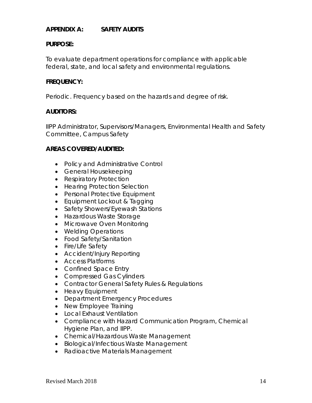#### **APPENDIX A: SAFETY AUDITS**

#### **PURPOSE:**

To evaluate department operations for compliance with applicable federal, state, and local safety and environmental regulations.

#### **FREQUENCY:**

Periodic. Frequency based on the hazards and degree of risk.

#### **AUDITORS:**

IIPP Administrator, Supervisors/Managers, Environmental Health and Safety Committee, Campus Safety

#### **AREAS COVERED/AUDITED:**

- Policy and Administrative Control
- General Housekeeping
- Respiratory Protection
- Hearing Protection Selection
- Personal Protective Equipment
- Equipment Lockout & Tagging
- Safety Showers/Eyewash Stations
- Hazardous Waste Storage
- Microwave Oven Monitoring
- Welding Operations
- Food Safety/Sanitation
- Fire/Life Safety
- Accident/Injury Reporting
- Access Platforms
- Confined Space Entry
- Compressed Gas Cylinders
- Contractor General Safety Rules & Regulations
- Heavy Equipment
- Department Emergency Procedures
- New Employee Training
- Local Exhaust Ventilation
- Compliance with Hazard Communication Program, Chemical Hygiene Plan, and IIPP.
- Chemical/Hazardous Waste Management
- Biological/Infectious Waste Management
- Radioactive Materials Management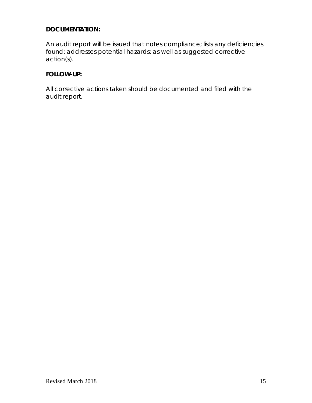# **DOCUMENTATION:**

An audit report will be issued that notes compliance; lists any deficiencies found; addresses potential hazards; as well as suggested corrective action(s).

# **FOLLOW-UP:**

All corrective actions taken should be documented and filed with the audit report.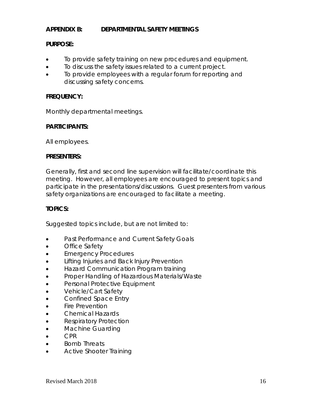### **APPENDIX B: DEPARTMENTAL SAFETY MEETINGS**

#### **PURPOSE:**

- To provide safety training on new procedures and equipment.
- To discuss the safety issues related to a current project.
- To provide employees with a regular forum for reporting and discussing safety concerns.

#### **FREQUENCY:**

Monthly departmental meetings.

#### **PARTICIPANTS:**

All employees.

#### **PRESENTERS:**

Generally, first and second line supervision will facilitate/coordinate this meeting. However, all employees are encouraged to present topics and participate in the presentations/discussions. Guest presenters from various safety organizations are encouraged to facilitate a meeting.

#### **TOPICS:**

Suggested topics include, but are not limited to:

- Past Performance and Current Safety Goals
- Office Safety
- Emergency Procedures
- Lifting Injuries and Back Injury Prevention
- Hazard Communication Program training
- Proper Handling of Hazardous Materials/Waste
- Personal Protective Equipment
- Vehicle/Cart Safety
- Confined Space Entry
- Fire Prevention
- Chemical Hazards
- Respiratory Protection
- Machine Guarding
- CPR
- Bomb Threats
- Active Shooter Training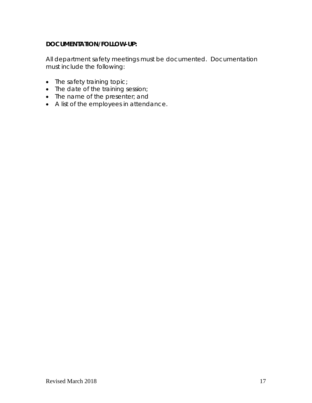### **DOCUMENTATION/FOLLOW-UP:**

All department safety meetings must be documented. Documentation must include the following:

- The safety training topic;
- The date of the training session;
- The name of the presenter; and
- A list of the employees in attendance.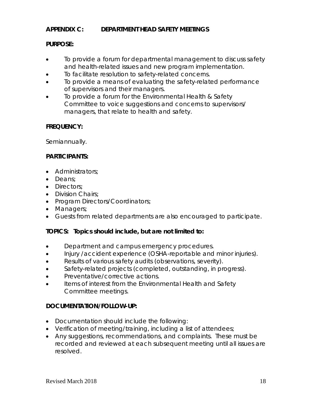# **APPENDIX C: DEPARTMENT HEAD SAFETY MEETINGS**

#### **PURPOSE:**

- To provide a forum for departmental management to discuss safety and health-related issues and new program implementation.
- To facilitate resolution to safety-related concerns.
- To provide a means of evaluating the safety-related performance of supervisors and their managers.
- To provide a forum for the Environmental Health & Safety Committee to voice suggestions and concerns to supervisors/ managers, that relate to health and safety.

#### **FREQUENCY:**

Semiannually.

#### **PARTICIPANTS:**

- Administrators:
- Deans;
- Directors:
- Division Chairs:
- Program Directors/Coordinators;
- Managers;
- Guests from related departments are also encouraged to participate.

#### **TOPICS: Topics should include, but are not limited to:**

- Department and campus emergency procedures.
- Injury /accident experience (OSHA-reportable and minor injuries).
- Results of various safety audits (observations, severity).
- Safety-related projects (completed, outstanding, in progress).
- Preventative/corrective actions.
- Items of interest from the Environmental Health and Safety Committee meetings.

#### **DOCUMENTATION/FOLLOW-UP:**

- Documentation should include the following:
- Verification of meeting/training, including a list of attendees;
- Any suggestions, recommendations, and complaints. These must be recorded and reviewed at each subsequent meeting until all issues are resolved.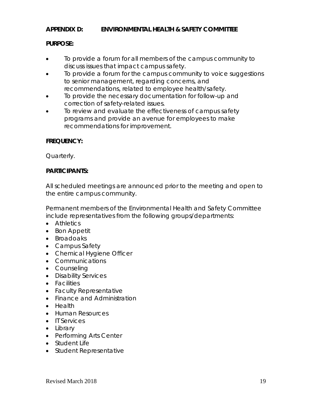# **APPENDIX D: ENVIRONMENTAL HEALTH & SAFETY COMMITTEE**

#### **PURPOSE:**

- To provide a forum for all members of the campus community to discuss issues that impact campus safety.
- To provide a forum for the campus community to voice suggestions to senior management, regarding concerns, and recommendations, related to employee health/safety.
- To provide the necessary documentation for follow-up and correction of safety-related issues.
- To review and evaluate the effectiveness of campus safety programs and provide an avenue for employees to make recommendations for improvement.

#### **FREQUENCY:**

Quarterly.

#### **PARTICIPANTS:**

All scheduled meetings are announced prior to the meeting and open to the entire campus community.

Permanent members of the Environmental Health and Safety Committee include representatives from the following groups/departments:

- Athletics
- Bon Appetit
- Broadoaks
- Campus Safety
- Chemical Hygiene Officer
- Communications
- Counseling
- Disability Services
- Facilities
- Faculty Representative
- Finance and Administration
- Health
- Human Resources
- IT Services
- Library
- Performing Arts Center
- Student Life
- Student Representative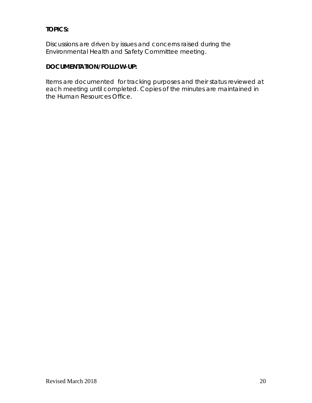# **TOPICS:**

Discussions are driven by issues and concerns raised during the Environmental Health and Safety Committee meeting.

#### **DOCUMENTATION/FOLLOW-UP:**

Items are documented for tracking purposes and their status reviewed at each meeting until completed. Copies of the minutes are maintained in the Human Resources Office.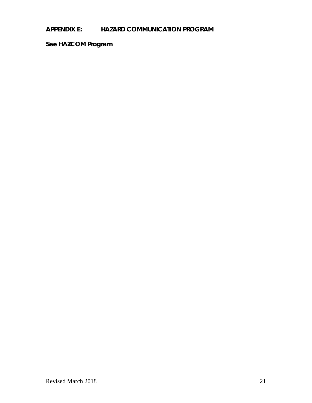# **APPENDIX E: HAZARD COMMUNICATION PROGRAM**

**See HAZCOM Program**